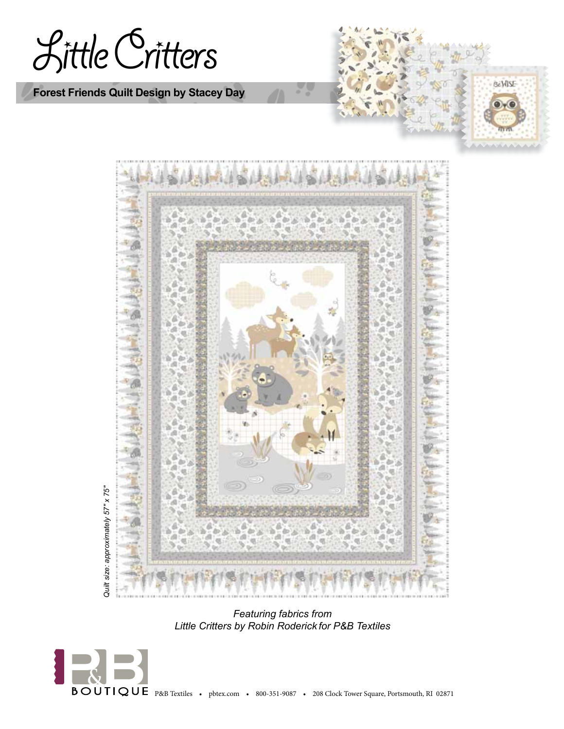Little Critters

**Forest Friends Quilt Design by Stacey Day**





*Featuring fabrics from Little Critters by Robin Roderick for P&B Textiles*

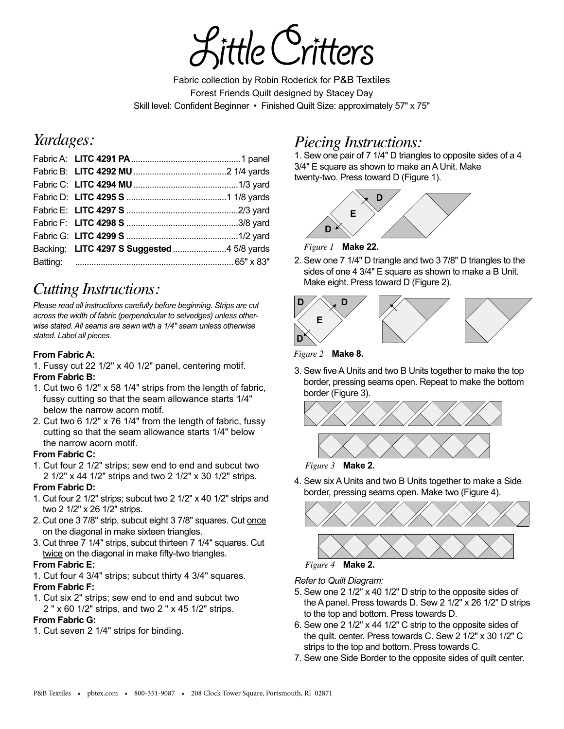tle Cri

Fabric collection by Robin Roderick for P&B Textiles Forest Friends Quilt designed by Stacey Day Skill level: Confident Beginner • Finished Quilt Size: approximately 57" x 75"

## *Yardages:*

# *Cutting Instructions:*

*Please read all instructions carefully before beginning. Strips are cut across the width of fabric (perpendicular to selvedges) unless otherwise stated. All seams are sewn with a 1/4" seam unless otherwise stated. Label all pieces.* 

### **From Fabric A:**

1. Fussy cut 22 1/2" x 40 1/2" panel, centering motif. **From Fabric B:**

- 1. Cut two 6 1/2" x 58 1/4" strips from the length of fabric, fussy cutting so that the seam allowance starts 1/4" below the narrow acorn motif.
- 2. Cut two 6 1/2" x 76 1/4" from the length of fabric, fussy cutting so that the seam allowance starts 1/4" below the narrow acorn motif.

#### **From Fabric C:**

1. Cut four 2 1/2" strips; sew end to end and subcut two 2 1/2" x 44 1/2" strips and two 2 1/2" x 30 1/2" strips.

#### **From Fabric D:**

- 1. Cut four 2 1/2" strips; subcut two 2 1/2" x 40 1/2" strips and two 2 1/2" x 26 1/2" strips.
- 2. Cut one 3 7/8" strip, subcut eight 3 7/8" squares. Cut once on the diagonal in make sixteen triangles.
- 3. Cut three 7 1/4" strips, subcut thirteen 7 1/4" squares. Cut twice on the diagonal in make fifty-two triangles.

#### **From Fabric E:**

- 1. Cut four 4 3/4" strips; subcut thirty 4 3/4" squares. **From Fabric F:**
- 1. Cut six 2" strips; sew end to end and subcut two 2 " x 60 1/2" strips, and two 2 " x 45 1/2" strips.

#### **From Fabric G:**

1. Cut seven 2 1/4" strips for binding.

# *Piecing Instructions:*

1. Sew one pair of 7 1/4" D triangles to opposite sides of a 4 3/4" E square as shown to make an A Unit. Make twenty-two. Press toward D (Figure 1).



*Figure 1* **Make 22.**

2. Sew one 7 1/4" D triangle and two 3  $7/8$ " D triangles to the sides of one 4 3/4" E square as shown to make a B Unit. Make eight. Press toward D (Figure 2).



 $\mathcal{L}_{\mathcal{A}}$ Figure 2 **Make 8.** 

3. Sew five A Units and two B Units together to make the top border, pressing seams open. Repeat to make the bottom border (Figure 3).



*Figure 3* **Make 2.**

4. Sew six A Units and two B Units together to make a Side border, pressing seams open. Make two (Figure 4).



*Refer to Quilt Diagram:*

- 5. Sew one 2 1/2" x 40 1/2" D strip to the opposite sides of the A panel. Press towards D. Sew 2 1/2" x 26 1/2" D strips to the top and bottom. Press towards D.
- 6. Sew one 2 1/2" x 44 1/2" C strip to the opposite sides of the quilt. center. Press towards C. Sew 2 1/2" x 30 1/2" C strips to the top and bottom. Press towards C.
- 7. Sew one Side Border to the opposite sides of quilt center.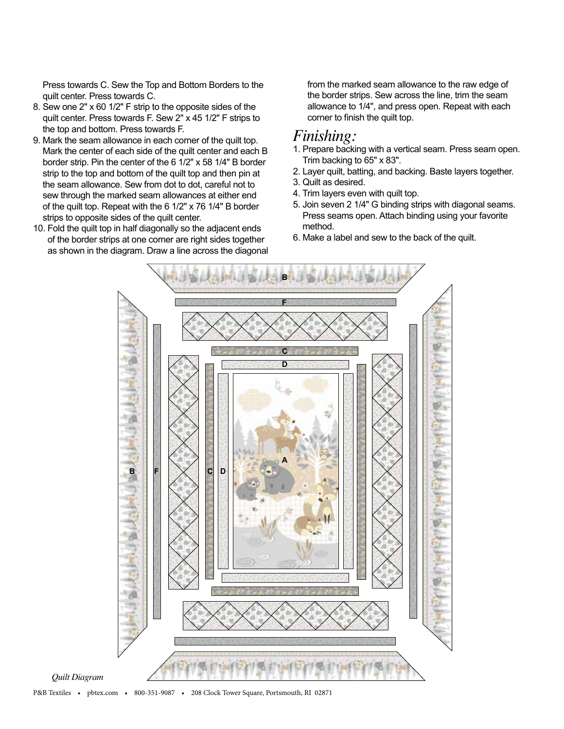Press towards C. Sew the Top and Bottom Borders to the quilt center. Press towards C.

- 8. Sew one 2" x 60 1/2" F strip to the opposite sides of the quilt center. Press towards F. Sew 2" x 45 1/2" F strips to the top and bottom. Press towards F.
- 9. Mark the seam allowance in each corner of the quilt top. Mark the center of each side of the quilt center and each B border strip. Pin the center of the 6 1/2" x 58 1/4" B border strip to the top and bottom of the quilt top and then pin at the seam allowance. Sew from dot to dot, careful not to sew through the marked seam allowances at either end of the quilt top. Repeat with the 6 1/2" x 76 1/4" B border strips to opposite sides of the quilt center.
- 10. Fold the quilt top in half diagonally so the adjacent ends of the border strips at one corner are right sides together as shown in the diagram. Draw a line across the diagonal

from the marked seam allowance to the raw edge of the border strips. Sew across the line, trim the seam allowance to 1/4", and press open. Repeat with each corner to finish the quilt top.

## *Finishing:*

- 1. Prepare backing with a vertical seam. Press seam open. Trim backing to 65" x 83".
- 2. Layer quilt, batting, and backing. Baste layers together.
- 3. Quilt as desired.
- 4. Trim layers even with quilt top.
- 5. Join seven 2 1/4" G binding strips with diagonal seams. Press seams open. Attach binding using your favorite method.
- 6. Make a label and sew to the back of the quilt.



*Quilt Diagram*